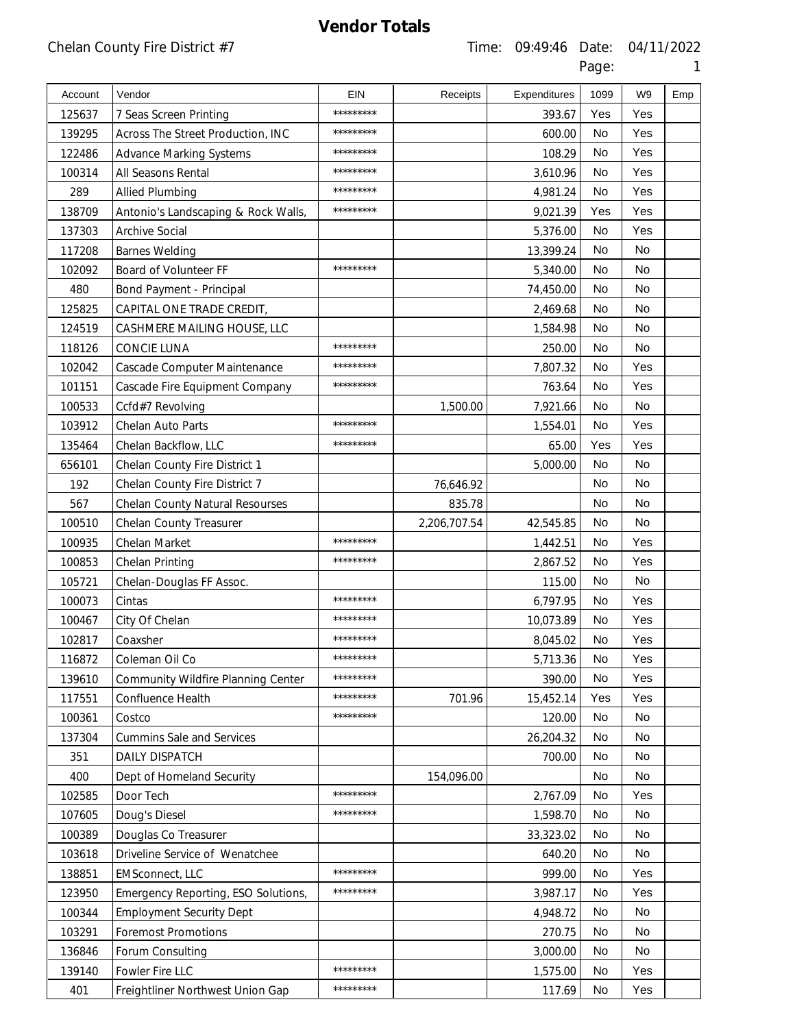| Account | Vendor                              | EIN       | Receipts     | Expenditures | 1099      | W <sub>9</sub> | Emp |
|---------|-------------------------------------|-----------|--------------|--------------|-----------|----------------|-----|
| 125637  | 7 Seas Screen Printing              | ********* |              | 393.67       | Yes       | Yes            |     |
| 139295  | Across The Street Production, INC   | ********* |              | 600.00       | <b>No</b> | Yes            |     |
| 122486  | <b>Advance Marking Systems</b>      | ********* |              | 108.29       | No        | Yes            |     |
| 100314  | All Seasons Rental                  | ********* |              | 3,610.96     | <b>No</b> | Yes            |     |
| 289     | <b>Allied Plumbing</b>              | ********* |              | 4,981.24     | No        | Yes            |     |
| 138709  | Antonio's Landscaping & Rock Walls, | ********* |              | 9,021.39     | Yes       | Yes            |     |
| 137303  | <b>Archive Social</b>               |           |              | 5,376.00     | No        | Yes            |     |
| 117208  | <b>Barnes Welding</b>               |           |              | 13,399.24    | <b>No</b> | <b>No</b>      |     |
| 102092  | Board of Volunteer FF               | ********* |              | 5,340.00     | No        | No             |     |
| 480     | Bond Payment - Principal            |           |              | 74,450.00    | <b>No</b> | <b>No</b>      |     |
| 125825  | CAPITAL ONE TRADE CREDIT,           |           |              | 2,469.68     | No        | No             |     |
| 124519  | CASHMERE MAILING HOUSE, LLC         |           |              | 1,584.98     | <b>No</b> | No             |     |
| 118126  | <b>CONCIE LUNA</b>                  | ********* |              | 250.00       | No        | No             |     |
| 102042  | Cascade Computer Maintenance        | ********* |              | 7,807.32     | <b>No</b> | Yes            |     |
| 101151  | Cascade Fire Equipment Company      | ********* |              | 763.64       | No        | Yes            |     |
| 100533  | Ccfd#7 Revolving                    |           | 1,500.00     | 7,921.66     | <b>No</b> | <b>No</b>      |     |
| 103912  | Chelan Auto Parts                   | ********* |              | 1,554.01     | No        | Yes            |     |
| 135464  | Chelan Backflow, LLC                | ********* |              | 65.00        | Yes       | Yes            |     |
| 656101  | Chelan County Fire District 1       |           |              | 5,000.00     | No        | No             |     |
| 192     | Chelan County Fire District 7       |           | 76,646.92    |              | <b>No</b> | <b>No</b>      |     |
| 567     | Chelan County Natural Resourses     |           | 835.78       |              | No        | No             |     |
| 100510  | <b>Chelan County Treasurer</b>      |           | 2,206,707.54 | 42,545.85    | No        | No             |     |
| 100935  | Chelan Market                       | ********* |              | 1,442.51     | No        | Yes            |     |
| 100853  | Chelan Printing                     | ********* |              | 2,867.52     | <b>No</b> | Yes            |     |
| 105721  | Chelan-Douglas FF Assoc.            |           |              | 115.00       | No        | No             |     |
| 100073  | Cintas                              | ********* |              | 6,797.95     | <b>No</b> | Yes            |     |
| 100467  | City Of Chelan                      | ********* |              | 10,073.89    | No        | Yes            |     |
| 102817  | Coaxsher                            |           |              | 8,045.02     | No        | Yes            |     |
| 116872  | Coleman Oil Co                      | ********* |              | 5,713.36     | No        | Yes            |     |
| 139610  | Community Wildfire Planning Center  | ********* |              | 390.00       | No        | Yes            |     |
| 117551  | Confluence Health                   | ********* | 701.96       | 15,452.14    | Yes       | Yes            |     |
| 100361  | Costco                              | ********* |              | 120.00       | No        | <b>No</b>      |     |
| 137304  | <b>Cummins Sale and Services</b>    |           |              | 26,204.32    | No        | No             |     |
| 351     | DAILY DISPATCH                      |           |              | 700.00       | No        | No             |     |
| 400     | Dept of Homeland Security           |           | 154,096.00   |              | No        | No             |     |
| 102585  | Door Tech                           | ********* |              | 2,767.09     | No        | Yes            |     |
| 107605  | Doug's Diesel                       | ********* |              | 1,598.70     | No        | No             |     |
| 100389  | Douglas Co Treasurer                |           |              | 33,323.02    | No        | No             |     |
| 103618  | Driveline Service of Wenatchee      |           |              | 640.20       | No        | No             |     |
| 138851  | <b>EMSconnect, LLC</b>              | ********* |              | 999.00       | No        | Yes            |     |
| 123950  | Emergency Reporting, ESO Solutions, | ********* |              | 3,987.17     | No        | Yes            |     |
| 100344  | <b>Employment Security Dept</b>     |           |              | 4,948.72     | No        | No             |     |
| 103291  | <b>Foremost Promotions</b>          |           |              | 270.75       | No        | No             |     |
| 136846  | Forum Consulting                    |           |              | 3,000.00     | No        | No             |     |
| 139140  | Fowler Fire LLC                     | ********* |              | 1,575.00     | No        | Yes            |     |
| 401     | Freightliner Northwest Union Gap    | ********* |              | 117.69       | No        | Yes            |     |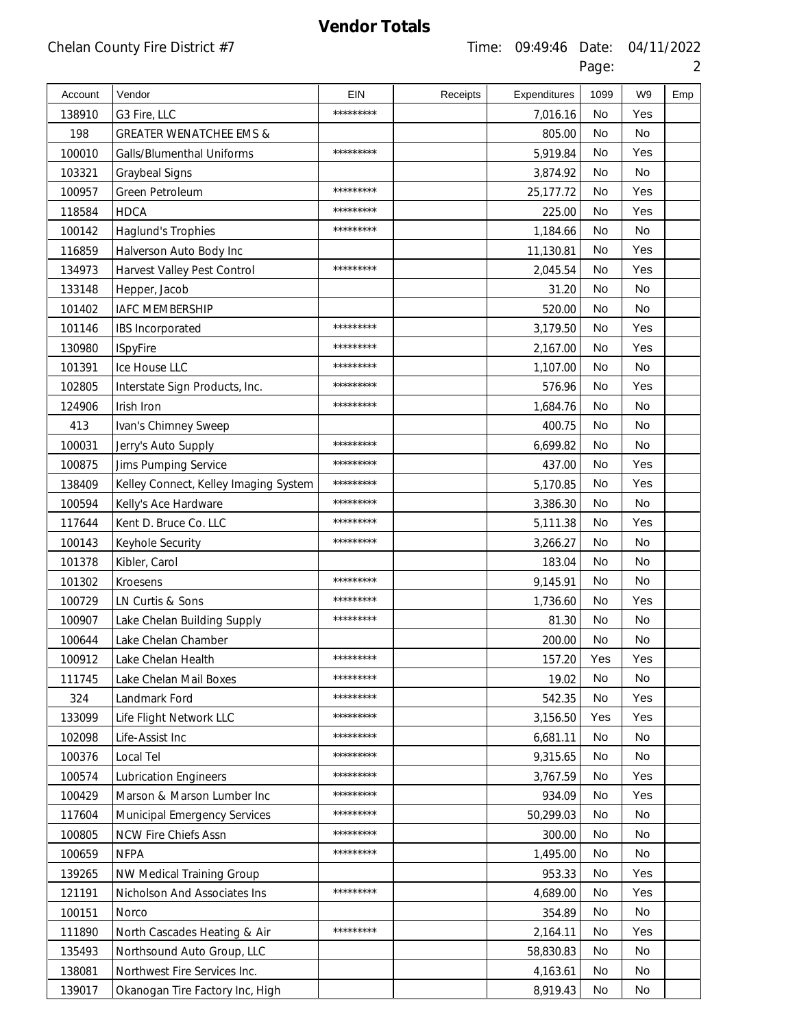| Account | Vendor                                | <b>EIN</b> | Receipts | Expenditures | 1099      | W <sub>9</sub> | Emp |
|---------|---------------------------------------|------------|----------|--------------|-----------|----------------|-----|
| 138910  | G3 Fire, LLC                          | *********  |          | 7,016.16     | <b>No</b> | Yes            |     |
| 198     | <b>GREATER WENATCHEE EMS &amp;</b>    |            |          | 805.00       | <b>No</b> | No             |     |
| 100010  | Galls/Blumenthal Uniforms             | *********  |          | 5,919.84     | <b>No</b> | Yes            |     |
| 103321  | Graybeal Signs                        |            |          | 3,874.92     | <b>No</b> | <b>No</b>      |     |
| 100957  | Green Petroleum                       | *********  |          | 25,177.72    | No        | Yes            |     |
| 118584  | <b>HDCA</b>                           | *********  |          | 225.00       | <b>No</b> | Yes            |     |
| 100142  | <b>Haglund's Trophies</b>             | *********  |          | 1,184.66     | No        | No             |     |
| 116859  | Halverson Auto Body Inc               |            |          | 11,130.81    | No        | Yes            |     |
| 134973  | Harvest Valley Pest Control           | *********  |          | 2,045.54     | <b>No</b> | Yes            |     |
| 133148  | Hepper, Jacob                         |            |          | 31.20        | <b>No</b> | No             |     |
| 101402  | <b>IAFC MEMBERSHIP</b>                |            |          | 520.00       | <b>No</b> | No             |     |
| 101146  | <b>IBS</b> Incorporated               | *********  |          | 3,179.50     | <b>No</b> | Yes            |     |
| 130980  | <b>ISpyFire</b>                       | *********  |          | 2,167.00     | <b>No</b> | Yes            |     |
| 101391  | Ice House LLC                         | *********  |          | 1,107.00     | <b>No</b> | <b>No</b>      |     |
| 102805  | Interstate Sign Products, Inc.        | *********  |          | 576.96       | <b>No</b> | Yes            |     |
| 124906  | Irish Iron                            | *********  |          | 1,684.76     | <b>No</b> | <b>No</b>      |     |
| 413     | Ivan's Chimney Sweep                  |            |          | 400.75       | <b>No</b> | No             |     |
| 100031  | Jerry's Auto Supply                   | *********  |          | 6,699.82     | No        | No             |     |
| 100875  | Jims Pumping Service                  | *********  |          | 437.00       | No        | Yes            |     |
| 138409  | Kelley Connect, Kelley Imaging System | *********  |          | 5,170.85     | <b>No</b> | Yes            |     |
| 100594  | Kelly's Ace Hardware                  | *********  |          | 3,386.30     | <b>No</b> | No             |     |
| 117644  | Kent D. Bruce Co. LLC                 | *********  |          | 5,111.38     | <b>No</b> | Yes            |     |
| 100143  | Keyhole Security                      | *********  |          | 3,266.27     | <b>No</b> | No             |     |
| 101378  | Kibler, Carol                         |            |          | 183.04       | <b>No</b> | <b>No</b>      |     |
| 101302  | Kroesens                              | *********  |          | 9,145.91     | <b>No</b> | No             |     |
| 100729  | LN Curtis & Sons                      | *********  |          | 1,736.60     | No        | Yes            |     |
| 100907  | Lake Chelan Building Supply           | *********  |          | 81.30        | No        | No             |     |
| 100644  | Lake Chelan Chamber                   |            |          | 200.00       | No        | No             |     |
| 100912  | Lake Chelan Health                    |            |          | 157.20       | Yes       | Yes            |     |
| 111745  | Lake Chelan Mail Boxes                | *********  |          | 19.02        | No        | No             |     |
| 324     | Landmark Ford                         | *********  |          | 542.35       | No        | Yes            |     |
| 133099  | Life Flight Network LLC               | *********  |          | 3,156.50     | Yes       | Yes            |     |
| 102098  | Life-Assist Inc                       | *********  |          | 6,681.11     | No        | No             |     |
| 100376  | Local Tel                             | *********  |          | 9,315.65     | No        | No             |     |
| 100574  | <b>Lubrication Engineers</b>          | *********  |          | 3,767.59     | No        | Yes            |     |
| 100429  | Marson & Marson Lumber Inc            | *********  |          | 934.09       | No        | Yes            |     |
| 117604  | <b>Municipal Emergency Services</b>   | *********  |          | 50,299.03    | No        | No             |     |
| 100805  | NCW Fire Chiefs Assn                  | *********  |          | 300.00       | No        | No             |     |
| 100659  | <b>NFPA</b>                           | *********  |          | 1,495.00     | No        | No             |     |
| 139265  | NW Medical Training Group             |            |          | 953.33       | No        | Yes            |     |
| 121191  | Nicholson And Associates Ins          | *********  |          | 4,689.00     | No        | Yes            |     |
| 100151  | Norco                                 |            |          | 354.89       | No        | No.            |     |
| 111890  | North Cascades Heating & Air          | *********  |          | 2,164.11     | No        | Yes            |     |
| 135493  | Northsound Auto Group, LLC            |            |          | 58,830.83    | No        | No             |     |
| 138081  | Northwest Fire Services Inc.          |            |          | 4,163.61     | No        | No             |     |
| 139017  | Okanogan Tire Factory Inc, High       |            |          | 8,919.43     | No        | No             |     |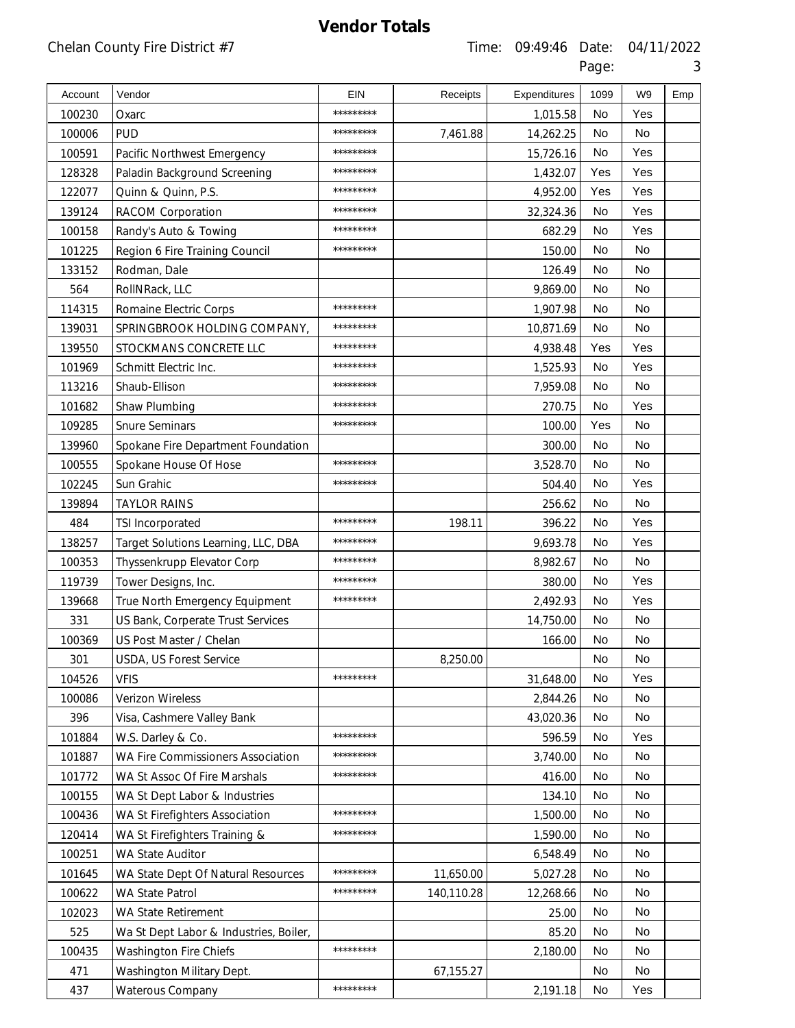| Account | Vendor                                 | EIN       | Receipts   | Expenditures | 1099      | W <sub>9</sub> | Emp |
|---------|----------------------------------------|-----------|------------|--------------|-----------|----------------|-----|
| 100230  | Oxarc                                  | ********* |            | 1,015.58     | No        | Yes            |     |
| 100006  | <b>PUD</b>                             | ********* | 7,461.88   | 14,262.25    | <b>No</b> | <b>No</b>      |     |
| 100591  | Pacific Northwest Emergency            | ********* |            | 15,726.16    | No        | Yes            |     |
| 128328  | Paladin Background Screening           | ********* |            | 1,432.07     | Yes       | Yes            |     |
| 122077  | Quinn & Quinn, P.S.                    | ********* |            | 4,952.00     | Yes       | Yes            |     |
| 139124  | <b>RACOM Corporation</b>               | ********* |            | 32,324.36    | <b>No</b> | Yes            |     |
| 100158  | Randy's Auto & Towing                  | ********* |            | 682.29       | No        | Yes            |     |
| 101225  | Region 6 Fire Training Council         | ********* |            | 150.00       | <b>No</b> | <b>No</b>      |     |
| 133152  | Rodman, Dale                           |           |            | 126.49       | No        | No             |     |
| 564     | RollNRack, LLC                         |           |            | 9,869.00     | <b>No</b> | <b>No</b>      |     |
| 114315  | Romaine Electric Corps                 | ********* |            | 1,907.98     | No        | No             |     |
| 139031  | SPRINGBROOK HOLDING COMPANY,           | ********* |            | 10,871.69    | <b>No</b> | No             |     |
| 139550  | STOCKMANS CONCRETE LLC                 | ********* |            | 4,938.48     | Yes       | Yes            |     |
| 101969  | Schmitt Electric Inc.                  | ********* |            | 1,525.93     | <b>No</b> | Yes            |     |
| 113216  | Shaub-Ellison                          | ********* |            | 7,959.08     | No        | No             |     |
| 101682  | Shaw Plumbing                          | ********* |            | 270.75       | <b>No</b> | Yes            |     |
| 109285  | <b>Snure Seminars</b>                  | ********* |            | 100.00       | Yes       | No             |     |
| 139960  | Spokane Fire Department Foundation     |           |            | 300.00       | <b>No</b> | No             |     |
| 100555  | Spokane House Of Hose                  | ********* |            | 3,528.70     | No        | No             |     |
| 102245  | Sun Grahic                             | ********* |            | 504.40       | <b>No</b> | Yes            |     |
| 139894  | <b>TAYLOR RAINS</b>                    |           |            | 256.62       | No        | No             |     |
| 484     | TSI Incorporated                       | ********* | 198.11     | 396.22       | <b>No</b> | Yes            |     |
| 138257  | Target Solutions Learning, LLC, DBA    | ********* |            | 9,693.78     | No        | Yes            |     |
| 100353  | Thyssenkrupp Elevator Corp             | ********* |            | 8,982.67     | <b>No</b> | <b>No</b>      |     |
| 119739  | Tower Designs, Inc.                    | ********* |            | 380.00       | No        | Yes            |     |
| 139668  | True North Emergency Equipment         | ********* |            | 2,492.93     | <b>No</b> | Yes            |     |
| 331     | US Bank, Corperate Trust Services      |           |            | 14,750.00    | No        | No             |     |
| 100369  | US Post Master / Chelan                |           |            | 166.00       | No        | No             |     |
| 301     | USDA, US Forest Service                |           | 8,250.00   |              | No        | No             |     |
| 104526  | <b>VFIS</b>                            | ********* |            | 31,648.00    | No        | Yes            |     |
| 100086  | Verizon Wireless                       |           |            | 2,844.26     | No        | No             |     |
| 396     | Visa, Cashmere Valley Bank             |           |            | 43,020.36    | No        | No             |     |
| 101884  | W.S. Darley & Co.                      | ********* |            | 596.59       | No        | Yes            |     |
| 101887  | WA Fire Commissioners Association      | ********* |            | 3,740.00     | No        | No             |     |
| 101772  | WA St Assoc Of Fire Marshals           | ********* |            | 416.00       | No        | No             |     |
| 100155  | WA St Dept Labor & Industries          |           |            | 134.10       | No        | No             |     |
| 100436  | WA St Firefighters Association         | ********* |            | 1,500.00     | No        | No             |     |
| 120414  | WA St Firefighters Training &          | ********* |            | 1,590.00     | No        | No             |     |
| 100251  | WA State Auditor                       |           |            | 6,548.49     | No        | No             |     |
| 101645  | WA State Dept Of Natural Resources     | ********* | 11,650.00  | 5,027.28     | No        | No             |     |
| 100622  | WA State Patrol                        | ********* | 140,110.28 | 12,268.66    | No        | No             |     |
| 102023  | WA State Retirement                    |           |            | 25.00        | No        | No             |     |
| 525     | Wa St Dept Labor & Industries, Boiler, |           |            | 85.20        | No        | No             |     |
| 100435  | <b>Washington Fire Chiefs</b>          | ********* |            | 2,180.00     | No        | No             |     |
| 471     | Washington Military Dept.              |           | 67,155.27  |              | No        | No             |     |
| 437     | Waterous Company                       | ********* |            | 2,191.18     | No        | Yes            |     |